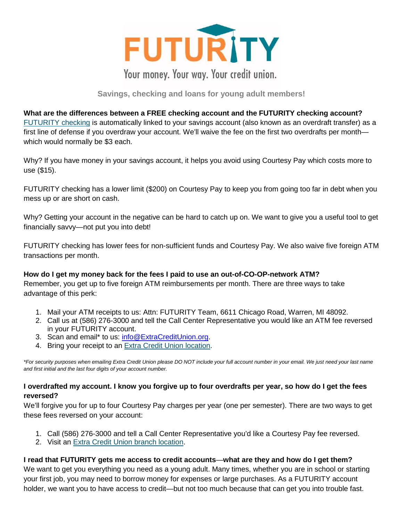

# Your money. Your way. Your credit union.

## **Savings, checking and loans for young adult members!**

### **What are the differences between a FREE checking account and the FUTURITY checking account?**

[FUTURITY checking](https://www.extracreditunion.org/savings-and-checking/futurity-college-checking-and-saving) is automatically linked to your savings account (also known as an overdraft transfer) as a first line of defense if you overdraw your account. We'll waive the fee on the first two overdrafts per month which would normally be \$3 each.

Why? If you have money in your savings account, it helps you avoid using Courtesy Pay which costs more to use (\$15).

FUTURITY checking has a lower limit (\$200) on Courtesy Pay to keep you from going too far in debt when you mess up or are short on cash.

Why? Getting your account in the negative can be hard to catch up on. We want to give you a useful tool to get financially savvy—not put you into debt!

FUTURITY checking has lower fees for non-sufficient funds and Courtesy Pay. We also waive five foreign ATM transactions per month.

### **How do I get my money back for the fees I paid to use an out-of-CO-OP-network ATM?**

Remember, you get up to five foreign ATM reimbursements per month. There are three ways to take advantage of this perk:

- 1. Mail your ATM receipts to us: Attn: FUTURITY Team, 6611 Chicago Road, Warren, MI 48092.
- 2. Call us at (586) 276-3000 and tell the Call Center Representative you would like an ATM fee reversed in your FUTURITY account.
- 3. Scan and email\* to us: [info@ExtraCreditUnion.org.](mailto:info@ExtraCreditUnion.org)
- 4. Bring your receipt to an [Extra Credit Union location.](https://www.extracreditunion.org/resources/locationshoursatm-branch-locator)

*\*For security purposes when emailing Extra Credit Union please DO NOT include your full account number in your email. We just need your last name and first initial and the last four digits of your account number.*

#### **I overdrafted my account. I know you forgive up to four overdrafts per year, so how do I get the fees reversed?**

We'll forgive you for up to four Courtesy Pay charges per year (one per semester). There are two ways to get these fees reversed on your account:

- 1. Call (586) 276-3000 and tell a Call Center Representative you'd like a Courtesy Pay fee reversed.
- 2. Visit an [Extra Credit Union branch location.](https://www.extracreditunion.org/resources/locationshoursatm-branch-locator)

#### **I read that FUTURITY gets me access to credit accounts**—**what are they and how do I get them?**

We want to get you everything you need as a young adult. Many times, whether you are in school or starting your first job, you may need to borrow money for expenses or large purchases. As a FUTURITY account holder, we want you to have access to credit—but not too much because that can get you into trouble fast.